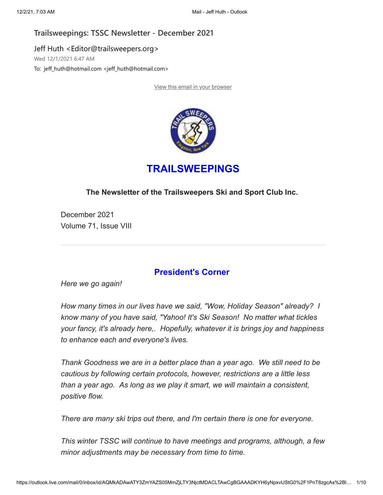# **Trailsweepings: TSSC Newsletter - December 2021**

Jeff Huth <Editor@trailsweepers.org> Wed 12/1/2021 6:47 AM

To: jeff\_huth@hotmail.com <jeff\_huth@hotmail.com>

[View this email in your browser](https://na01.safelinks.protection.outlook.com/?url=https%3A%2F%2Fmailchi.mp%2F17ca1c93c354%2Ftrailsweepings-tssc-newsletter-december-2021%3Fe%3Ddb5c61ab33&data=04%7C01%7C%7Cd3dd5e18255c49424f9308d9b4c06687%7C84df9e7fe9f640afb435aaaaaaaaaaaa%7C1%7C0%7C637739560721550071%7CUnknown%7CTWFpbGZsb3d8eyJWIjoiMC4wLjAwMDAiLCJQIjoiV2luMzIiLCJBTiI6Ik1haWwiLCJXVCI6Mn0%3D%7C3000&sdata=alh2X%2B%2BfE9MeFibboTXKscsMWjHCWikpUzAbaKFODLc%3D&reserved=0)



# **TRAILSWEEPINGS**

# **The Newsletter of the Trailsweepers Ski and Sport Club Inc.**

December 2021 Volume 71, Issue VIII

# **President's Corner**

*Here we go again!*

*How many times in our lives have we said, "Wow, Holiday Season" already? I know many of you have said, "Yahoo! It's Ski Season! No matter what tickles your fancy, it's already here,. Hopefully, whatever it is brings joy and happiness to enhance each and everyone's lives.*

*Thank Goodness we are in a better place than a year ago. We still need to be cautious by following certain protocols, however, restrictions are a little less than a year ago. As long as we play it smart, we will maintain a consistent, positive flow.*

*There are many ski trips out there, and I'm certain there is one for everyone.*

*This winter TSSC will continue to have meetings and programs, although, a few minor adjustments may be necessary from time to time.*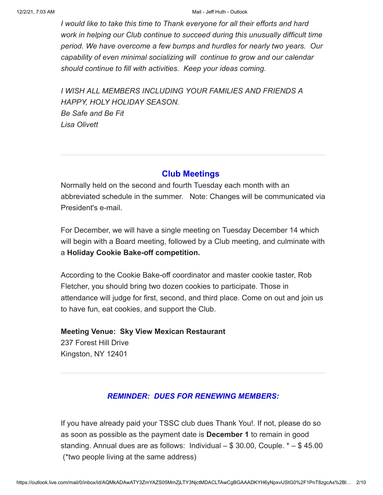#### 12/2/21, 7:03 AM Mail - Jeff Huth - Outlook

*I would like to take this time to Thank everyone for all their efforts and hard work in helping our Club continue to succeed during this unusually difficult time period. We have overcome a few bumps and hurdles for nearly two years. Our capability of even minimal socializing will continue to grow and our calendar should continue to fill with activities. Keep your ideas coming.*

*I WISH ALL MEMBERS INCLUDING YOUR FAMILIES AND FRIENDS A HAPPY, HOLY HOLIDAY SEASON. Be Safe and Be Fit Lisa Olivett*

### **Club Meetings**

Normally held on the second and fourth Tuesday each month with an abbreviated schedule in the summer. Note: Changes will be communicated via President's e-mail.

For December, we will have a single meeting on Tuesday December 14 which will begin with a Board meeting, followed by a Club meeting, and culminate with a **Holiday Cookie Bake-off competition.**

According to the Cookie Bake-off coordinator and master cookie taster, Rob Fletcher, you should bring two dozen cookies to participate. Those in attendance will judge for first, second, and third place. Come on out and join us to have fun, eat cookies, and support the Club.

# **Meeting Venue: Sky View Mexican Restaurant** 237 Forest Hill Drive Kingston, NY 12401

# *REMINDER: DUES FOR RENEWING MEMBERS:*

If you have already paid your TSSC club dues Thank You!. If not, please do so as soon as possible as the payment date is **December 1** to remain in good standing. Annual dues are as follows: Individual – \$ 30.00, Couple. \* – \$ 45.00 (\*two people living at the same address)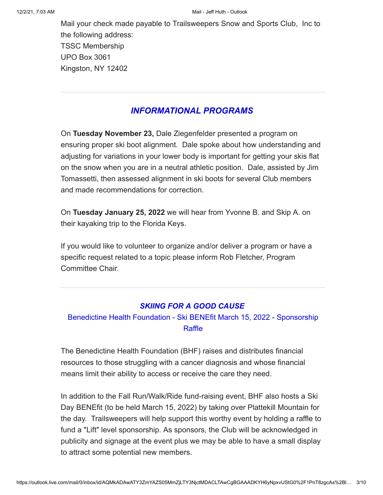Mail your check made payable to Trailsweepers Snow and Sports Club, Inc to the following address: TSSC Membership UPO Box 3061 Kingston, NY 12402

# *INFORMATIONAL PROGRAMS*

On **Tuesday November 23,** Dale Ziegenfelder presented a program on ensuring proper ski boot alignment. Dale spoke about how understanding and adjusting for variations in your lower body is important for getting your skis flat on the snow when you are in a neutral athletic position. Dale, assisted by Jim Tomassetti, then assessed alignment in ski boots for several Club members and made recommendations for correction.

On **Tuesday January 25, 2022** we will hear from Yvonne B. and Skip A. on their kayaking trip to the Florida Keys.

If you would like to volunteer to organize and/or deliver a program or have a specific request related to a topic please inform Rob Fletcher, Program Committee Chair.

### *SKIING FOR A GOOD CAUSE*

# Benedictine Health Foundation - Ski BENEfit March 15, 2022 - Sponsorship Raffle

The Benedictine Health Foundation (BHF) raises and distributes financial resources to those struggling with a cancer diagnosis and whose financial means limit their ability to access or receive the care they need.

In addition to the Fall Run/Walk/Ride fund-raising event, BHF also hosts a Ski Day BENEfit (to be held March 15, 2022) by taking over Plattekill Mountain for the day. Trailsweepers will help support this worthy event by holding a raffle to fund a "Lift" level sponsorship. As sponsors, the Club will be acknowledged in publicity and signage at the event plus we may be able to have a small display to attract some potential new members.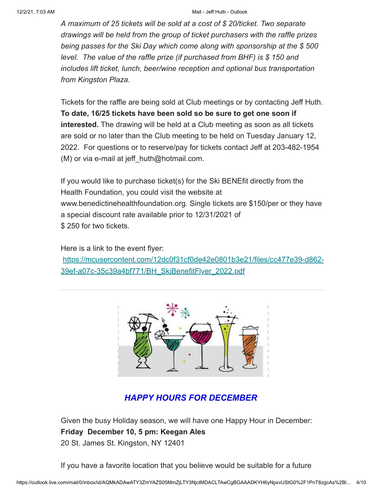#### 12/2/21, 7:03 AM Mail - Jeff Huth - Outlook

*A maximum of 25 tickets will be sold at a cost of \$ 20/ticket. Two separate drawings will be held from the group of ticket purchasers with the raffle prizes being passes for the Ski Day which come along with sponsorship at the \$ 500 level. The value of the raffle prize (if purchased from BHF) is \$ 150 and includes lift ticket, lunch, beer/wine reception and optional bus transportation from Kingston Plaza.*

Tickets for the raffle are being sold at Club meetings or by contacting Jeff Huth. **To date, 16/25 tickets have been sold so be sure to get one soon if interested.** The drawing will be held at a Club meeting as soon as all tickets are sold or no later than the Club meeting to be held on Tuesday January 12, 2022. For questions or to reserve/pay for tickets contact Jeff at 203-482-1954 (M) or via e-mail at jeff\_huth@hotmail.com.

If you would like to purchase ticket(s) for the Ski BENEfit directly from the Health Foundation, you could visit the website at www.benedictinehealthfoundation.org. Single tickets are \$150/per or they have a special discount rate available prior to 12/31/2021 of \$ 250 for two tickets.

Here is a link to the event flyer: [https://mcusercontent.com/12dc0f31cf0de42e0801b3e21/files/cc477e39-d862-](https://na01.safelinks.protection.outlook.com/?url=https%3A%2F%2Fhotmail.us17.list-manage.com%2Ftrack%2Fclick%3Fu%3D12dc0f31cf0de42e0801b3e21%26id%3D5d42aa8cd6%26e%3Ddb5c61ab33&data=04%7C01%7C%7Cd3dd5e18255c49424f9308d9b4c06687%7C84df9e7fe9f640afb435aaaaaaaaaaaa%7C1%7C0%7C637739560721550071%7CUnknown%7CTWFpbGZsb3d8eyJWIjoiMC4wLjAwMDAiLCJQIjoiV2luMzIiLCJBTiI6Ik1haWwiLCJXVCI6Mn0%3D%7C3000&sdata=r1FTRfqNJRCPtzAOOShkjyc3HLdIgfmIb9qoY8yeDVA%3D&reserved=0) 39ef-a07c-35c39a4bf771/BH\_SkiBenefitFlyer\_2022.pdf



# *HAPPY HOURS FOR DECEMBER*

Given the busy Holiday season, we will have one Happy Hour in December: **Friday December 10, 5 pm: Keegan Ales**

20 St. James St. Kingston, NY 12401

If you have a favorite location that you believe would be suitable for a future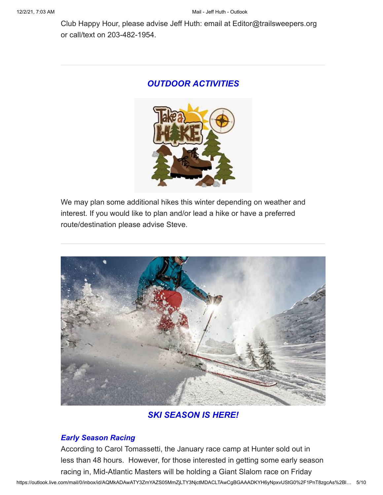Club Happy Hour, please advise Jeff Huth: email at Editor@trailsweepers.org or call/text on 203-482-1954.

# *OUTDOOR ACTIVITIES*



We may plan some additional hikes this winter depending on weather and interest. If you would like to plan and/or lead a hike or have a preferred route/destination please advise Steve.



# *SKI SEASON IS HERE!*

# *Early Season Racing*

According to Carol Tomassetti, the January race camp at Hunter sold out in less than 48 hours. However, for those interested in getting some early season racing in, Mid-Atlantic Masters will be holding a Giant Slalom race on Friday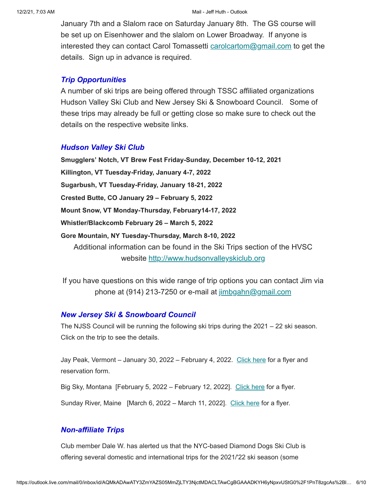January 7th and a Slalom race on Saturday January 8th. The GS course will be set up on Eisenhower and the slalom on Lower Broadway. If anyone is interested they can contact Carol Tomassetti [carolcartom@gmail.com](mailto:carolcartom@gmail.com) to get the details. Sign up in advance is required.

### *Trip Opportunities*

A number of ski trips are being offered through TSSC affiliated organizations Hudson Valley Ski Club and New Jersey Ski & Snowboard Council. Some of these trips may already be full or getting close so make sure to check out the details on the respective website links.

### *Hudson Valley Ski Club*

**Smugglers' Notch, VT Brew Fest Friday-Sunday, December 10-12, 2021 Killington, VT Tuesday-Friday, January 4-7, 2022 Sugarbush, VT Tuesday-Friday, January 18-21, 2022 Crested Butte, CO January 29 – February 5, 2022 Mount Snow, VT Monday-Thursday, February14-17, 2022 Whistler/Blackcomb February 26 – March 5, 2022 Gore Mountain, NY Tuesday-Thursday, March 8-10, 2022** Additional information can be found in the Ski Trips section of the HVSC website [http://www.hudsonvalleyskiclub.org](https://na01.safelinks.protection.outlook.com/?url=https%3A%2F%2Fhotmail.us17.list-manage.com%2Ftrack%2Fclick%3Fu%3D12dc0f31cf0de42e0801b3e21%26id%3Dbe31656b04%26e%3Ddb5c61ab33&data=04%7C01%7C%7Cd3dd5e18255c49424f9308d9b4c06687%7C84df9e7fe9f640afb435aaaaaaaaaaaa%7C1%7C0%7C637739560721560062%7CUnknown%7CTWFpbGZsb3d8eyJWIjoiMC4wLjAwMDAiLCJQIjoiV2luMzIiLCJBTiI6Ik1haWwiLCJXVCI6Mn0%3D%7C3000&sdata=hW4tB1mtV%2FoWzrBMey7larlW4p1WIx8noJxT69vnuA0%3D&reserved=0)

If you have questions on this wide range of trip options you can contact Jim via phone at (914) 213-7250 or e-mail at [jimbgahn@gmail.com](mailto:jimbgahn@gmail.com)

### *New Jersey Ski & Snowboard Council*

The NJSS Council will be running the following ski trips during the 2021 – 22 ski season. Click on the trip to see the details.

Jay Peak, Vermont – January 30, 2022 – February 4, 2022. [Click here](https://na01.safelinks.protection.outlook.com/?url=https%3A%2F%2Fhotmail.us17.list-manage.com%2Ftrack%2Fclick%3Fu%3D12dc0f31cf0de42e0801b3e21%26id%3Dde59659924%26e%3Ddb5c61ab33&data=04%7C01%7C%7Cd3dd5e18255c49424f9308d9b4c06687%7C84df9e7fe9f640afb435aaaaaaaaaaaa%7C1%7C0%7C637739560721560062%7CUnknown%7CTWFpbGZsb3d8eyJWIjoiMC4wLjAwMDAiLCJQIjoiV2luMzIiLCJBTiI6Ik1haWwiLCJXVCI6Mn0%3D%7C3000&sdata=Pg2a%2BmXKJ54fLp1uXQip%2FhCAguHdO8aFccBNN5jVRUY%3D&reserved=0) for a flyer and reservation form.

Big Sky, Montana [February 5, 2022 – February 12, 2022]. [Click here](https://na01.safelinks.protection.outlook.com/?url=https%3A%2F%2Fhotmail.us17.list-manage.com%2Ftrack%2Fclick%3Fu%3D12dc0f31cf0de42e0801b3e21%26id%3D34141d0534%26e%3Ddb5c61ab33&data=04%7C01%7C%7Cd3dd5e18255c49424f9308d9b4c06687%7C84df9e7fe9f640afb435aaaaaaaaaaaa%7C1%7C0%7C637739560721570061%7CUnknown%7CTWFpbGZsb3d8eyJWIjoiMC4wLjAwMDAiLCJQIjoiV2luMzIiLCJBTiI6Ik1haWwiLCJXVCI6Mn0%3D%7C3000&sdata=15JSMnoVl1shsOOCFe%2FOGuLp7Sg4ovgMGMK59ks%2FNgA%3D&reserved=0) for a flyer.

Sunday River, Maine [March 6, 2022 – March 11, 2022]. [Click here](https://na01.safelinks.protection.outlook.com/?url=https%3A%2F%2Fhotmail.us17.list-manage.com%2Ftrack%2Fclick%3Fu%3D12dc0f31cf0de42e0801b3e21%26id%3De4979ef9cf%26e%3Ddb5c61ab33&data=04%7C01%7C%7Cd3dd5e18255c49424f9308d9b4c06687%7C84df9e7fe9f640afb435aaaaaaaaaaaa%7C1%7C0%7C637739560721570061%7CUnknown%7CTWFpbGZsb3d8eyJWIjoiMC4wLjAwMDAiLCJQIjoiV2luMzIiLCJBTiI6Ik1haWwiLCJXVCI6Mn0%3D%7C3000&sdata=8RGFG5eqTmoMyV3WhH%2F0lprl9PI2B9ZYW0wD5pq6OkU%3D&reserved=0) for a flyer.

### *Non-affiliate Trips*

Club member Dale W. has alerted us that the NYC-based Diamond Dogs Ski Club is offering several domestic and international trips for the 2021/'22 ski season (some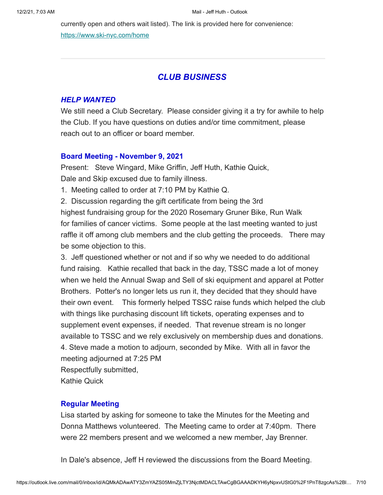currently open and others wait listed). The link is provided here for convenience: [https://www.ski-nyc.com/home](https://na01.safelinks.protection.outlook.com/?url=https%3A%2F%2Fhotmail.us17.list-manage.com%2Ftrack%2Fclick%3Fu%3D12dc0f31cf0de42e0801b3e21%26id%3D05196df351%26e%3Ddb5c61ab33&data=04%7C01%7C%7Cd3dd5e18255c49424f9308d9b4c06687%7C84df9e7fe9f640afb435aaaaaaaaaaaa%7C1%7C0%7C637739560721580055%7CUnknown%7CTWFpbGZsb3d8eyJWIjoiMC4wLjAwMDAiLCJQIjoiV2luMzIiLCJBTiI6Ik1haWwiLCJXVCI6Mn0%3D%7C3000&sdata=%2FKBF8gv6TM8YP0yMuZg60wzZYnDfIL6G6PkiTDdjQSA%3D&reserved=0)

## *CLUB BUSINESS*

#### *HELP WANTED*

We still need a Club Secretary. Please consider giving it a try for awhile to help the Club. If you have questions on duties and/or time commitment, please reach out to an officer or board member.

#### **Board Meeting - November 9, 2021**

Present: Steve Wingard, Mike Griffin, Jeff Huth, Kathie Quick, Dale and Skip excused due to family illness.

1. Meeting called to order at 7:10 PM by Kathie Q.

2. Discussion regarding the gift certificate from being the 3rd highest fundraising group for the 2020 Rosemary Gruner Bike, Run Walk for families of cancer victims. Some people at the last meeting wanted to just raffle it off among club members and the club getting the proceeds. There may be some objection to this.

3. Jeff questioned whether or not and if so why we needed to do additional fund raising. Kathie recalled that back in the day, TSSC made a lot of money when we held the Annual Swap and Sell of ski equipment and apparel at Potter Brothers. Potter's no longer lets us run it, they decided that they should have their own event. This formerly helped TSSC raise funds which helped the club with things like purchasing discount lift tickets, operating expenses and to supplement event expenses, if needed. That revenue stream is no longer available to TSSC and we rely exclusively on membership dues and donations. 4. Steve made a motion to adjourn, seconded by Mike. With all in favor the meeting adjourned at 7:25 PM

Respectfully submitted,

Kathie Quick

#### **Regular Meeting**

Lisa started by asking for someone to take the Minutes for the Meeting and Donna Matthews volunteered. The Meeting came to order at 7:40pm. There were 22 members present and we welcomed a new member, Jay Brenner.

In Dale's absence, Jeff H reviewed the discussions from the Board Meeting.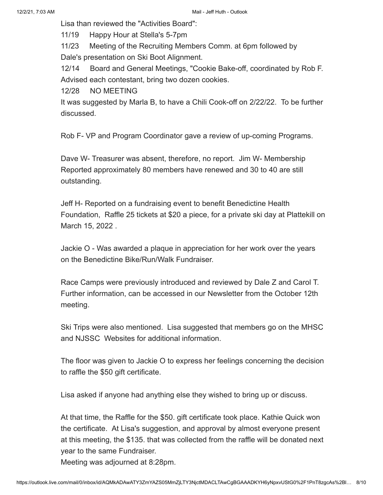Lisa than reviewed the "Activities Board":

11/19 Happy Hour at Stella's 5-7pm

11/23 Meeting of the Recruiting Members Comm. at 6pm followed by Dale's presentation on Ski Boot Alignment.

12/14 Board and General Meetings, "Cookie Bake-off, coordinated by Rob F. Advised each contestant, bring two dozen cookies.

12/28 NO MEETING

It was suggested by Marla B, to have a Chili Cook-off on 2/22/22. To be further discussed.

Rob F- VP and Program Coordinator gave a review of up-coming Programs.

Dave W- Treasurer was absent, therefore, no report. Jim W- Membership Reported approximately 80 members have renewed and 30 to 40 are still outstanding.

Jeff H- Reported on a fundraising event to benefit Benedictine Health Foundation, Raffle 25 tickets at \$20 a piece, for a private ski day at Plattekill on March 15, 2022 .

Jackie O - Was awarded a plaque in appreciation for her work over the years on the Benedictine Bike/Run/Walk Fundraiser.

Race Camps were previously introduced and reviewed by Dale Z and Carol T. Further information, can be accessed in our Newsletter from the October 12th meeting.

Ski Trips were also mentioned. Lisa suggested that members go on the MHSC and NJSSC Websites for additional information.

The floor was given to Jackie O to express her feelings concerning the decision to raffle the \$50 gift certificate.

Lisa asked if anyone had anything else they wished to bring up or discuss.

At that time, the Raffle for the \$50. gift certificate took place. Kathie Quick won the certificate. At Lisa's suggestion, and approval by almost everyone present at this meeting, the \$135. that was collected from the raffle will be donated next year to the same Fundraiser.

Meeting was adjourned at 8:28pm.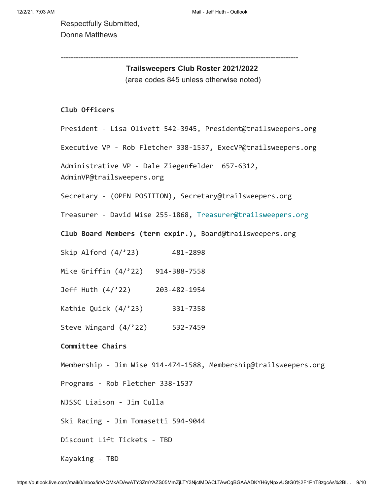Respectfully Submitted, Donna Matthews

-----------------------------------------------------------------------------------------------

### **Trailsweepers Club Roster 2021/2022**

(area codes 845 unless otherwise noted)

#### **Club Officers**

President - Lisa Olivett 542-3945, President@trailsweepers.org

Executive VP - Rob Fletcher 338-1537, ExecVP@trailsweepers.org

Administrative VP - Dale Ziegenfelder 657-6312, AdminVP@trailsweepers.org

Secretary - (OPEN POSITION), Secretary@trailsweepers.org

Treasurer - David Wise 255-1868, [Treasurer@trailsweepers.org](mailto:Treasurer@trailsweepers.org)

**Club Board Members (term expir.),** Board@trailsweepers.org

Skip Alford (4/'23) 481-2898

Mike Griffin (4/'22) 914-388-7558

Jeff Huth (4/'22) 203-482-1954

Kathie Quick (4/'23) 331-7358

Steve Wingard (4/'22) 532-7459

#### **Committee Chairs**

Membership - Jim Wise 914-474-1588, Membership@trailsweepers.org

Programs - Rob Fletcher 338-1537

NJSSC Liaison - Jim Culla

Ski Racing - Jim Tomasetti 594-9044

Discount Lift Tickets - TBD

Kayaking - TBD